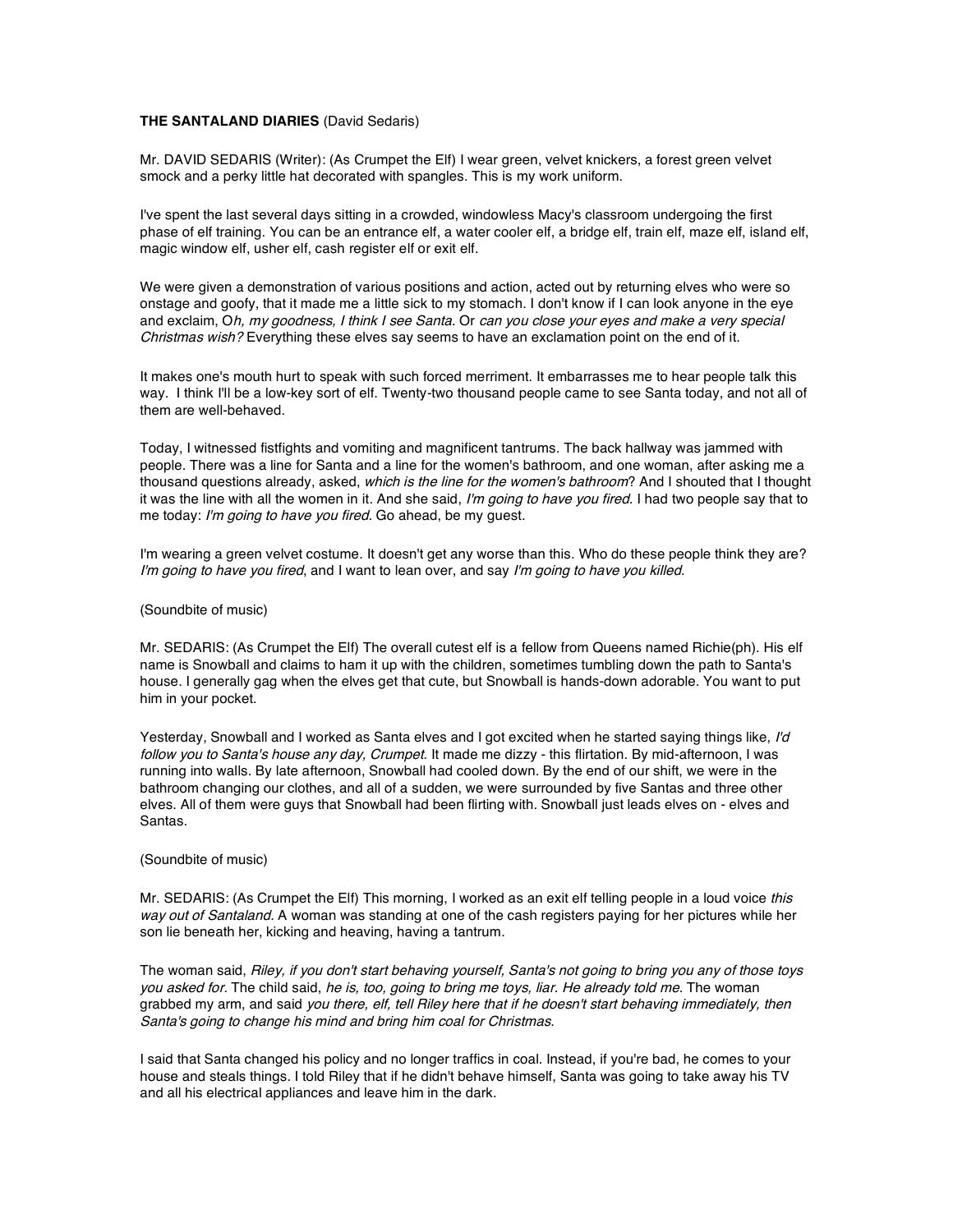# **THE SANTALAND DIARIES** (David Sedaris)

Mr. DAVID SEDARIS (Writer): (As Crumpet the Elf) I wear green, velvet knickers, a forest green velvet smock and a perky little hat decorated with spangles. This is my work uniform.

I've spent the last several days sitting in a crowded, windowless Macy's classroom undergoing the first phase of elf training. You can be an entrance elf, a water cooler elf, a bridge elf, train elf, maze elf, island elf, magic window elf, usher elf, cash register elf or exit elf.

We were given a demonstration of various positions and action, acted out by returning elves who were so onstage and goofy, that it made me a little sick to my stomach. I don't know if I can look anyone in the eye and exclaim, Oh, my goodness, I think I see Santa. Or can you close your eyes and make a very special Christmas wish? Everything these elves say seems to have an exclamation point on the end of it.

It makes one's mouth hurt to speak with such forced merriment. It embarrasses me to hear people talk this way. I think I'll be a low-key sort of elf. Twenty-two thousand people came to see Santa today, and not all of them are well-behaved.

Today, I witnessed fistfights and vomiting and magnificent tantrums. The back hallway was jammed with people. There was a line for Santa and a line for the women's bathroom, and one woman, after asking me a thousand questions already, asked, which is the line for the women's bathroom? And I shouted that I thought it was the line with all the women in it. And she said, I'm going to have you fired. I had two people say that to me today: I'm going to have you fired. Go ahead, be my guest.

I'm wearing a green velvet costume. It doesn't get any worse than this. Who do these people think they are? I'm going to have you fired, and I want to lean over, and say I'm going to have you killed.

## (Soundbite of music)

Mr. SEDARIS: (As Crumpet the Elf) The overall cutest elf is a fellow from Queens named Richie(ph). His elf name is Snowball and claims to ham it up with the children, sometimes tumbling down the path to Santa's house. I generally gag when the elves get that cute, but Snowball is hands-down adorable. You want to put him in your pocket.

Yesterday, Snowball and I worked as Santa elves and I got excited when he started saying things like, I'd follow you to Santa's house any day, Crumpet. It made me dizzy - this flirtation. By mid-afternoon, I was running into walls. By late afternoon, Snowball had cooled down. By the end of our shift, we were in the bathroom changing our clothes, and all of a sudden, we were surrounded by five Santas and three other elves. All of them were guys that Snowball had been flirting with. Snowball just leads elves on - elves and Santas.

# (Soundbite of music)

Mr. SEDARIS: (As Crumpet the Elf) This morning, I worked as an exit elf telling people in a loud voice this way out of Santaland. A woman was standing at one of the cash registers paying for her pictures while her son lie beneath her, kicking and heaving, having a tantrum.

The woman said, Riley, if you don't start behaving yourself, Santa's not going to bring you any of those toys you asked for. The child said, he is, too, going to bring me toys, liar. He already told me. The woman grabbed my arm, and said you there, elf, tell Riley here that if he doesn't start behaving immediately, then Santa's going to change his mind and bring him coal for Christmas.

I said that Santa changed his policy and no longer traffics in coal. Instead, if you're bad, he comes to your house and steals things. I told Riley that if he didn't behave himself, Santa was going to take away his TV and all his electrical appliances and leave him in the dark.